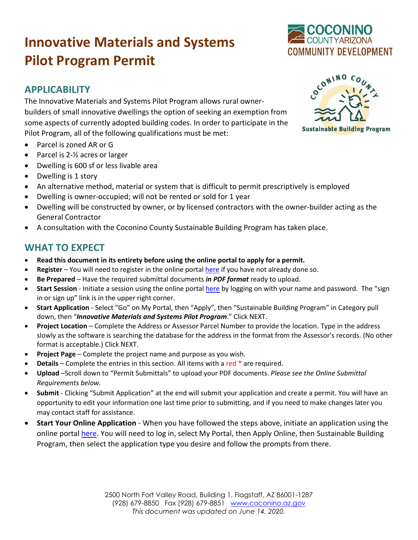# **Innovative Materials and Systems Pilot Program Permit**

### **APPLICABILITY**

The Innovative Materials and Systems Pilot Program allows rural ownerbuilders of small innovative dwellings the option of seeking an exemption from some aspects of currently adopted building codes. In order to participate in the Pilot Program, all of the following qualifications must be met:

- Parcel is zoned AR or G
- Parcel is 2-½ acres or larger
- Dwelling is 600 sf or less livable area
- Dwelling is 1 story
- An alternative method, material or system that is difficult to permit prescriptively is employed
- Dwelling is owner-occupied; will not be rented or sold for 1 year
- Dwelling will be constructed by owner, or by licensed contractors with the owner-builder acting as the General Contractor
- A consultation with the Coconino County Sustainable Building Program has taken place.

## **WHAT TO EXPECT**

- **Read this document in its entirety before using the online portal to apply for a permit.**
- **Register** You will need to register in the online portal [here](https://co-coconino-az.smartgovcommunity.com/Public/Home) if you have not already done so.
- **Be Prepared** Have the required submittal documents *in PDF format* ready to upload.
- Start Session Initiate a session using the online portal [here](https://co-coconino-az.smartgovcommunity.com/Public/Home) by logging on with your name and password. The "sign in or sign up" link is in the upper right corner.
- **Start Application** Select "Go" on My Portal, then "Apply", then "Sustainable Building Program" in Category pull down, then "*Innovative Materials and Systems Pilot Program*." Click NEXT.
- **Project Location** Complete the Address or Assessor Parcel Number to provide the location. Type in the address slowly as the software is searching the database for the address in the format from the Assessor's records. (No other format is acceptable.) Click NEXT.
- **Project Page** Complete the project name and purpose as you wish.
- **Details** Complete the entries in this section. All items with a red \* are required.
- **Upload** –Scroll down to "Permit Submittals" to upload your PDF documents. *Please see the Online Submittal Requirements below.*
- **Submit**  Clicking "Submit Application" at the end will submit your application and create a permit. You will have an opportunity to edit your information one last time prior to submitting, and if you need to make changes later you may contact staff for assistance.
- **Start Your Online Application** When you have followed the steps above, initiate an application using the online portal [here.](https://co-coconino-az.smartgovcommunity.com/Public/Home) You will need to log in, select My Portal, then Apply Online, then Sustainable Building Program, then select the application type you desire and follow the prompts from there.

COCONINO

**Sustainable Building Program**